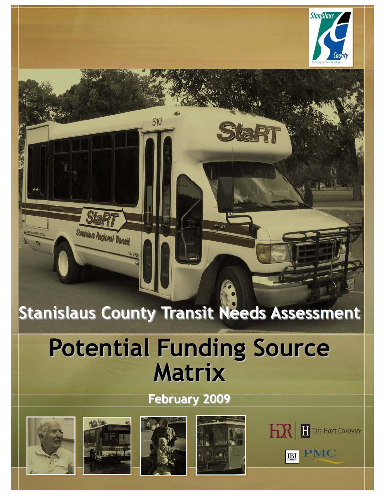

# **Stanislaus County Transit Needs Assessment**

510

# **Potential Funding Source Matrix**

## **February 2009**





Stanislaus Regional Transit





StaRt



**PMC** 

 $\prod_{\text{conv}}$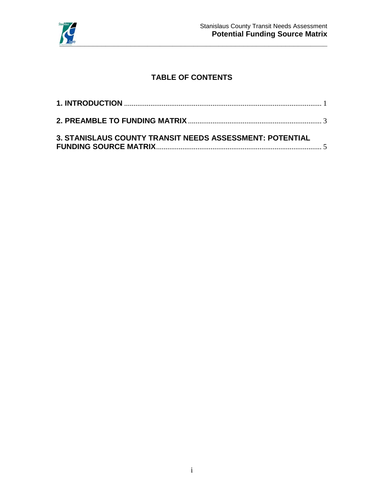

### **TABLE OF CONTENTS**

| 3. STANISLAUS COUNTY TRANSIT NEEDS ASSESSMENT: POTENTIAL |  |
|----------------------------------------------------------|--|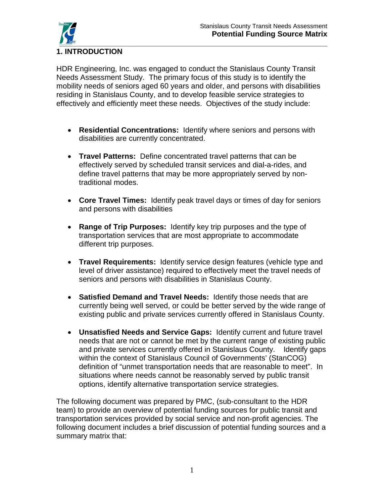

#### <span id="page-2-0"></span>**1. INTRODUCTION**

HDR Engineering, Inc. was engaged to conduct the Stanislaus County Transit Needs Assessment Study. The primary focus of this study is to identify the mobility needs of seniors aged 60 years and older, and persons with disabilities residing in Stanislaus County, and to develop feasible service strategies to effectively and efficiently meet these needs. Objectives of the study include:

- **Residential Concentrations:** Identify where seniors and persons with disabilities are currently concentrated.
- **Travel Patterns:** Define concentrated travel patterns that can be effectively served by scheduled transit services and dial-a-rides, and define travel patterns that may be more appropriately served by nontraditional modes.
- **Core Travel Times:** Identify peak travel days or times of day for seniors and persons with disabilities
- **Range of Trip Purposes:** Identify key trip purposes and the type of transportation services that are most appropriate to accommodate different trip purposes.
- **Travel Requirements:** Identify service design features (vehicle type and level of driver assistance) required to effectively meet the travel needs of seniors and persons with disabilities in Stanislaus County.
- **Satisfied Demand and Travel Needs:** Identify those needs that are currently being well served, or could be better served by the wide range of existing public and private services currently offered in Stanislaus County.
- **Unsatisfied Needs and Service Gaps:** Identify current and future travel needs that are not or cannot be met by the current range of existing public and private services currently offered in Stanislaus County. Identify gaps within the context of Stanislaus Council of Governments' (StanCOG) definition of "unmet transportation needs that are reasonable to meet". In situations where needs cannot be reasonably served by public transit options, identify alternative transportation service strategies.

The following document was prepared by PMC, (sub-consultant to the HDR team) to provide an overview of potential funding sources for public transit and transportation services provided by social service and non-profit agencies. The following document includes a brief discussion of potential funding sources and a summary matrix that: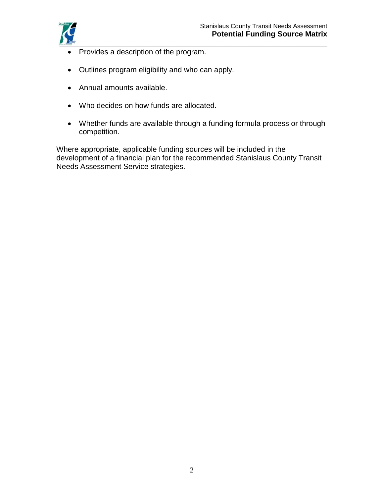

- Provides a description of the program.
- Outlines program eligibility and who can apply.
- Annual amounts available.
- Who decides on how funds are allocated.
- Whether funds are available through a funding formula process or through competition.

Where appropriate, applicable funding sources will be included in the development of a financial plan for the recommended Stanislaus County Transit Needs Assessment Service strategies.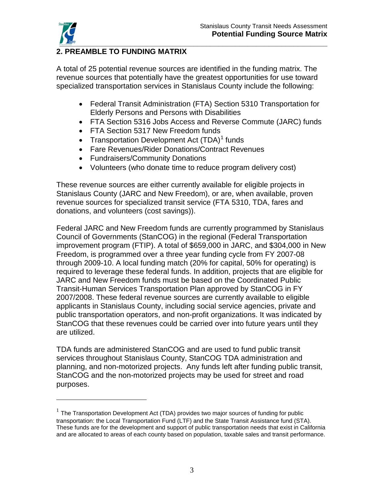$\overline{a}$ 

#### <span id="page-4-0"></span>**\_\_\_\_\_\_\_\_\_\_\_\_\_\_\_\_\_\_\_\_\_\_\_\_\_\_\_\_\_\_\_\_\_\_\_\_\_\_\_\_\_\_\_\_\_\_\_\_\_\_\_\_\_\_\_\_\_\_\_\_\_\_\_\_ 2. PREAMBLE TO FUNDING MATRIX**

A total of 25 potential revenue sources are identified in the funding matrix. The revenue sources that potentially have the greatest opportunities for use toward specialized transportation services in Stanislaus County include the following:

- Federal Transit Administration (FTA) Section 5310 Transportation for Elderly Persons and Persons with Disabilities
- FTA Section 5316 Jobs Access and Reverse Commute (JARC) funds
- FTA Section 5317 New Freedom funds
- Transportation Development Act  $(TDA)^1$  $(TDA)^1$  funds
- Fare Revenues/Rider Donations/Contract Revenues
- Fundraisers/Community Donations
- Volunteers (who donate time to reduce program delivery cost)

These revenue sources are either currently available for eligible projects in Stanislaus County (JARC and New Freedom), or are, when available, proven revenue sources for specialized transit service (FTA 5310, TDA, fares and donations, and volunteers (cost savings)).

Federal JARC and New Freedom funds are currently programmed by Stanislaus Council of Governments (StanCOG) in the regional (Federal Transportation improvement program (FTIP). A total of \$659,000 in JARC, and \$304,000 in New Freedom, is programmed over a three year funding cycle from FY 2007-08 through 2009-10. A local funding match (20% for capital, 50% for operating) is required to leverage these federal funds. In addition, projects that are eligible for JARC and New Freedom funds must be based on the Coordinated Public Transit-Human Services Transportation Plan approved by StanCOG in FY 2007/2008. These federal revenue sources are currently available to eligible applicants in Stanislaus County, including social service agencies, private and public transportation operators, and non-profit organizations. It was indicated by StanCOG that these revenues could be carried over into future years until they are utilized.

TDA funds are administered StanCOG and are used to fund public transit services throughout Stanislaus County, StanCOG TDA administration and planning, and non-motorized projects. Any funds left after funding public transit, StanCOG and the non-motorized projects may be used for street and road purposes.

<span id="page-4-1"></span> $1$  The Transportation Development Act (TDA) provides two major sources of funding for public transportation: the Local Transportation Fund (LTF) and the State Transit Assistance fund (STA). These funds are for the development and support of public transportation needs that exist in California and are allocated to areas of each county based on population, taxable sales and transit performance.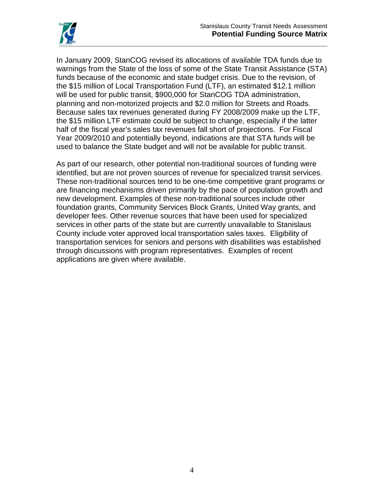

In January 2009, StanCOG revised its allocations of available TDA funds due to warnings from the State of the loss of some of the State Transit Assistance (STA) funds because of the economic and state budget crisis. Due to the revision, of the \$15 million of Local Transportation Fund (LTF), an estimated \$12.1 million will be used for public transit, \$900,000 for StanCOG TDA administration, planning and non-motorized projects and \$2.0 million for Streets and Roads. Because sales tax revenues generated during FY 2008/2009 make up the LTF, the \$15 million LTF estimate could be subject to change, especially if the latter half of the fiscal year's sales tax revenues fall short of projections. For Fiscal Year 2009/2010 and potentially beyond, indications are that STA funds will be used to balance the State budget and will not be available for public transit.

As part of our research, other potential non-traditional sources of funding were identified, but are not proven sources of revenue for specialized transit services. These non-traditional sources tend to be one-time competitive grant programs or are financing mechanisms driven primarily by the pace of population growth and new development. Examples of these non-traditional sources include other foundation grants, Community Services Block Grants, United Way grants, and developer fees. Other revenue sources that have been used for specialized services in other parts of the state but are currently unavailable to Stanislaus County include voter approved local transportation sales taxes. Eligibility of transportation services for seniors and persons with disabilities was established through discussions with program representatives. Examples of recent applications are given where available.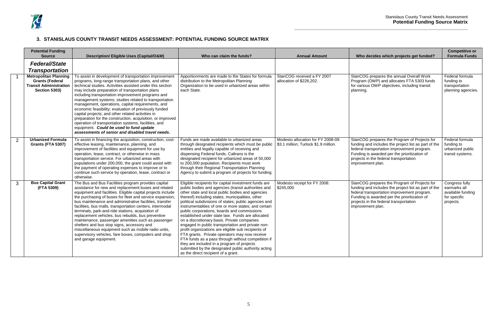

### <span id="page-6-0"></span>**3. STANISLAUS COUNTY TRANSIT NEEDS ASSESSMENT: POTENTIAL FUNDING SOURCE MATRIX**

|                | <b>Potential Funding</b><br><b>Source</b>                                                                       | <b>Description/ Eligible Uses (Capital/O&amp;M)</b>                                                                                                                                                                                                                                                                                                                                                                                                                                                                                                                                                                                                                                                                                  | Who can claim the funds?                                                                                                                                                                                                                                                                                                                                                                                                                                                                                                                                                                                                                                                                                                                                                                                                                              | <b>Annual Amount</b>                                                        | Who decides which projects get funded?                                                                                                                                                                                                                             | <b>Competitive or</b><br><b>Formula Funds</b>                                    |
|----------------|-----------------------------------------------------------------------------------------------------------------|--------------------------------------------------------------------------------------------------------------------------------------------------------------------------------------------------------------------------------------------------------------------------------------------------------------------------------------------------------------------------------------------------------------------------------------------------------------------------------------------------------------------------------------------------------------------------------------------------------------------------------------------------------------------------------------------------------------------------------------|-------------------------------------------------------------------------------------------------------------------------------------------------------------------------------------------------------------------------------------------------------------------------------------------------------------------------------------------------------------------------------------------------------------------------------------------------------------------------------------------------------------------------------------------------------------------------------------------------------------------------------------------------------------------------------------------------------------------------------------------------------------------------------------------------------------------------------------------------------|-----------------------------------------------------------------------------|--------------------------------------------------------------------------------------------------------------------------------------------------------------------------------------------------------------------------------------------------------------------|----------------------------------------------------------------------------------|
|                | <b>Federal/State</b><br><b>Transportation</b>                                                                   |                                                                                                                                                                                                                                                                                                                                                                                                                                                                                                                                                                                                                                                                                                                                      |                                                                                                                                                                                                                                                                                                                                                                                                                                                                                                                                                                                                                                                                                                                                                                                                                                                       |                                                                             |                                                                                                                                                                                                                                                                    |                                                                                  |
|                | <b>Metropolitan Planning</b><br><b>Grants (Federal</b><br><b>Transit Administration</b><br><b>Section 5303)</b> | To assist in development of transportation improvement<br>programs, long-range transportation plans, and other<br>technical studies. Activities assisted under this section<br>may include preparation of transportation plans<br>including transportation improvement programs and<br>management systems; studies related to transportation<br>management, operations, capital requirements, and<br>economic feasibility; evaluation of previously funded<br>capital projects; and other related activities in<br>preparation for the construction, acquisition, or improved<br>operation of transportation systems, facilities, and<br>equipment. Could be used to fund update<br>assessments of senior and disabled travel needs. | Apportionments are made to the States for formula<br>distribution to the Metropolitan Planning<br>Organization to be used in urbanized areas within<br>each State.                                                                                                                                                                                                                                                                                                                                                                                                                                                                                                                                                                                                                                                                                    | StanCOG received a FY 2007<br>allocation of \$228,202.                      | StanCOG prepares the annual Overall Work<br>Program (OWP) and allocates FTA 5303 funds<br>for various OWP objectives, including transit<br>planning.                                                                                                               | Federal formula<br>funding to<br>transportation<br>planning agencies.            |
| $\overline{2}$ | <b>Urbanized Formula</b><br><b>Grants (FTA 5307)</b>                                                            | To assist in financing the acquisition, construction, cost-<br>effective leasing, maintenance, planning, and<br>improvement of facilities and equipment for use by<br>operation, lease, contract, or otherwise in mass<br>transportation service. For urbanized areas with<br>populations under 200,000, the grant could assist with<br>the payment of operating expenses to improve or to<br>continue such service by operation, lease, contract or<br>otherwise.                                                                                                                                                                                                                                                                   | Funds are made available to urbanized areas<br>through designated recipients which must be public<br>entities and legally capable of receiving and<br>dispensing Federal funds. Caltrans is the<br>designated recipient for urbanized areas of 50,000<br>to 200,000 population. Recipients must work<br>through their Regional Transportation Planning<br>Agency to submit a program of projects for funding.                                                                                                                                                                                                                                                                                                                                                                                                                                         | Modesto allocation for FY 2008-09:<br>\$3.1 million; Turlock \$1.9 million. | StanCOG prepares the Program of Projects for<br>funding and includes the project list as part of the<br>federal transportation improvement program.<br>Funding is awarded per the prioritization of<br>projects in the federal transportation<br>improvement plan. | Federal formula<br>funding to<br>urbanized public<br>transit systems.            |
| 3              | <b>Bus Capital Grant</b><br>(FTA 5309)                                                                          | The Bus and Bus Facilities program provides capital<br>assistance for new and replacement buses and related<br>equipment and facilities. Eligible capital projects include<br>the purchasing of buses for fleet and service expansion,<br>bus maintenance and administrative facilities, transfer<br>facilities, bus malls, transportation centers, intermodal<br>terminals, park-and-ride stations, acquisition of<br>replacement vehicles, bus rebuilds, bus preventive<br>maintenance, passenger amenities such as passenger<br>shelters and bus stop signs, accessory and<br>miscellaneous equipment such as mobile radio units,<br>supervisory vehicles, fare boxes, computers and shop<br>and garage equipment.                | Eligible recipients for capital investment funds are<br>public bodies and agencies (transit authorities and<br>other state and local public bodies and agencies<br>thereof) including states, municipalities, other<br>political subdivisions of states; public agencies and<br>instrumentalities of one or more states; and certain<br>public corporations, boards and commissions<br>established under state law. Funds are allocated<br>on a discretionary basis. Private companies<br>engaged in public transportation and private non-<br>profit organizations are eligible sub recipients of<br>FTA grants. Private operators may now receive<br>FTA funds as a pass through without competition if<br>they are included in a program of projects<br>submitted by the designated public authority acting<br>as the direct recipient of a grant. | Modesto receipt for FY 2008:<br>\$245,000                                   | StanCOG prepares the Program of Projects for<br>funding and includes the project list as part of the<br>federal transportation improvement program.<br>Funding is awarded per the prioritization of<br>projects in the federal transportation<br>improvement plan. | Congress fully<br>earmarks all<br>available funding<br>for specific<br>projects. |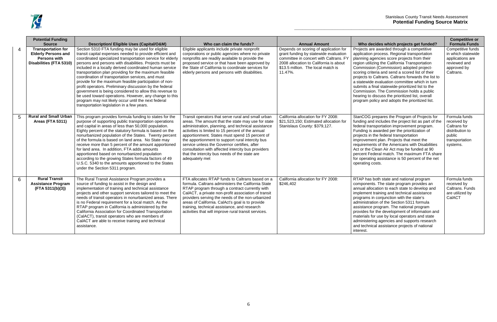#### Stanislaus County Transit Needs Assessment **Potential Funding Source Matrix**

|                | <b>Potential Funding</b><br><b>Source</b>                                                                 | <b>Description/ Eligible Uses (Capital/O&amp;M)</b>                                                                                                                                                                                                                                                                                                                                                                                                                                                                                                                                                                                                                                                                                                             | Who can claim the funds?                                                                                                                                                                                                                                                                                                                                                                                                                                                                           | <b>Annual Amount</b>                                                                                                                                                                                                | Who decides which projects get funded?                                                                                                                                                                                                                                                                                                                                                                                                                                                                                                                                                                        | <b>Competitive or</b><br><b>Formula Funds</b>                                                           |
|----------------|-----------------------------------------------------------------------------------------------------------|-----------------------------------------------------------------------------------------------------------------------------------------------------------------------------------------------------------------------------------------------------------------------------------------------------------------------------------------------------------------------------------------------------------------------------------------------------------------------------------------------------------------------------------------------------------------------------------------------------------------------------------------------------------------------------------------------------------------------------------------------------------------|----------------------------------------------------------------------------------------------------------------------------------------------------------------------------------------------------------------------------------------------------------------------------------------------------------------------------------------------------------------------------------------------------------------------------------------------------------------------------------------------------|---------------------------------------------------------------------------------------------------------------------------------------------------------------------------------------------------------------------|---------------------------------------------------------------------------------------------------------------------------------------------------------------------------------------------------------------------------------------------------------------------------------------------------------------------------------------------------------------------------------------------------------------------------------------------------------------------------------------------------------------------------------------------------------------------------------------------------------------|---------------------------------------------------------------------------------------------------------|
| $\overline{4}$ | <b>Transportation for</b><br><b>Elderly Persons and</b><br><b>Persons with</b><br>Disabilities (FTA 5310) | Section 5310 FTA funding may be used for eligible<br>transit capital expenses needed to provide efficient and<br>coordinated specialized transportation service for elderly<br>persons and persons with disabilities. Projects must be<br>included in a locally derived coordinated human service<br>transportation plan providing for the maximum feasible<br>coordination of transportation services, and must<br>provide for the maximum feasible participation of non-<br>profit operators. Preliminary discussion by the federal<br>government is being considered to allow this revenue to<br>be used toward operations. However, any change to this<br>program may not likely occur until the next federal<br>transportation legislation in a few years. | Eligible applicants include private nonprofit<br>corporations or public agencies where no private<br>nonprofits are readily available to provide the<br>proposed service or that have been approved by<br>the State of California to coordinate services for<br>elderly persons and persons with disabilities.                                                                                                                                                                                     | Depends on scoring of application for<br>grant funding by statewide evaluation<br>committee in concert with Caltrans. FY<br>2008 allocation to California is about<br>\$13.5 million. The local match is<br>11.47%. | Projects are awarded through a competitive<br>application process. Regional transportation<br>planning agencies score projects from their<br>region utilizing the California Transportation<br>Commission (Commission) adopted project-<br>scoring criteria and send a scored list of their<br>projects to Caltrans. Caltrans forwards the list to<br>a statewide evaluation committee which in turn<br>submits a final statewide-prioritized list to the<br>Commission. The Commission holds a public<br>hearing to discuss the prioritized list, overall<br>program policy and adopts the prioritized list. | Competitive funds<br>in which statewide<br>applications are<br>reviewed and<br>approved by<br>Caltrans. |
| 5              | <b>Rural and Small Urban</b><br><b>Areas (FTA 5311)</b>                                                   | This program provides formula funding to states for the<br>purpose of supporting public transportation operations<br>and capital in areas of less than 50,000 population.<br>Eighty percent of the statutory formula is based on the<br>nonurbanized population of the States. Twenty percent<br>of the formula is based on land area. No State may<br>receive more than 5 percent of the amount apportioned<br>for land area. In addition, FTA adds amounts<br>apportioned based on nonurbanized population<br>according to the growing States formula factors of 49<br>U.S.C. 5340 to the amounts apportioned to the States<br>under the Section 5311 program.                                                                                                | Transit operators that serve rural and small urban<br>areas. The amount that the state may use for state<br>administration, planning, and technical assistance<br>activities is limited to 15 percent of the annual<br>apportionment. States must spend 15 percent of<br>the apportionment to support rural intercity bus<br>service unless the Governor certifies, after<br>consultation with affected intercity bus providers<br>that the intercity bus needs of the state are<br>adequately met | California allocation for FY 2008:<br>\$21,523,150; Estimated allocation for<br>Stanislaus County: \$379,127.                                                                                                       | StanCOG prepares the Program of Projects for<br>funding and includes the project list as part of the<br>federal transportation improvement program.<br>Funding is awarded per the prioritization of<br>projects in the federal transportation<br>improvement plan. Projects that meet the<br>requirements of the Americans with Disabilities<br>Act or the Clean Air Act may be funded at 90<br>percent Federal match. The maximum FTA share<br>for operating assistance is 50 percent of the net<br>operating costs.                                                                                         | Formula funds<br>received by<br>Caltrans for<br>distribution to<br>public<br>transportation<br>systems. |
| 6              | <b>Rural Transit</b><br><b>Assistance Program</b><br>(FTA 5311(b)(3))                                     | The Rural Transit Assistance Program provides a<br>source of funding to assist in the design and<br>implementation of training and technical assistance<br>projects and other support services tailored to meet the<br>needs of transit operators in nonurbanized areas. There<br>is no Federal requirement for a local match. As the<br>RTAP program in California is administered by the<br>California Association for Coordinated Transportation<br>(CalACT), transit operators who are members of<br>CalACT are able to receive training and technical<br>assistance.                                                                                                                                                                                       | FTA allocates RTAP funds to Caltrans based on a<br>formula. Caltrans administers the California State<br>RTAP program through a contract currently with<br>CalACT, a private non-profit association of transit<br>providers serving the needs of the non-urbanized<br>areas of California. CalAct's goal is to provide<br>training, technical assistance, and research<br>activities that will improve rural transit services.                                                                     | California allocation for FY 2008:<br>\$246,402                                                                                                                                                                     | RTAP has both state and national program<br>components. The state program provides an<br>annual allocation to each state to develop and<br>implement training and technical assistance<br>programs in conjunction with the state's<br>administration of the Section 5311 formula<br>assistance program. The national program<br>provides for the development of information and<br>materials for use by local operators and state<br>administering agencies and supports research<br>and technical assistance projects of national<br>interest.                                                               | Formula funds<br>received by<br>Caltrans. Funds<br>are utilized by<br>CalACT                            |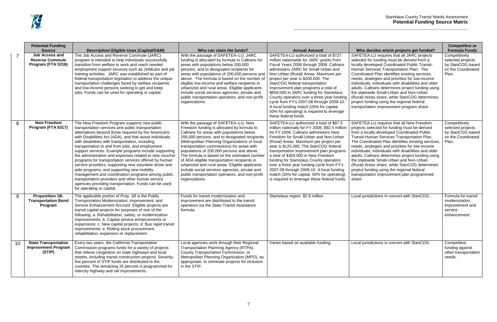|    | <b>Potential Funding</b>                                                               |                                                                                                                                                                                                                                                                                                                                                                                                                                                                                                                                                                                                                                                                                                                                                                                                              |                                                                                                                                                                                                                                                                                                                                                                                                                                                                                                                                                                                                     |                                                                                                                                                                                                                                                                                                                                                                                                                                                                                                                                                                                                              |                                                                                                                                                                                                                                                                                                                                                                                                                                                                                                                                                                                                                                          | <b>Competitive or</b>                                                                                         |
|----|----------------------------------------------------------------------------------------|--------------------------------------------------------------------------------------------------------------------------------------------------------------------------------------------------------------------------------------------------------------------------------------------------------------------------------------------------------------------------------------------------------------------------------------------------------------------------------------------------------------------------------------------------------------------------------------------------------------------------------------------------------------------------------------------------------------------------------------------------------------------------------------------------------------|-----------------------------------------------------------------------------------------------------------------------------------------------------------------------------------------------------------------------------------------------------------------------------------------------------------------------------------------------------------------------------------------------------------------------------------------------------------------------------------------------------------------------------------------------------------------------------------------------------|--------------------------------------------------------------------------------------------------------------------------------------------------------------------------------------------------------------------------------------------------------------------------------------------------------------------------------------------------------------------------------------------------------------------------------------------------------------------------------------------------------------------------------------------------------------------------------------------------------------|------------------------------------------------------------------------------------------------------------------------------------------------------------------------------------------------------------------------------------------------------------------------------------------------------------------------------------------------------------------------------------------------------------------------------------------------------------------------------------------------------------------------------------------------------------------------------------------------------------------------------------------|---------------------------------------------------------------------------------------------------------------|
|    | <b>Source</b><br><b>Job Access and</b><br><b>Reverse Commute</b><br>Program (FTA 5316) | Description/ Eligible Uses (Capital/O&M)<br>The Job Access and Reverse Commute (JARC)<br>program is intended to help individuals successfully<br>transition from welfare to work and reach needed<br>employment support services such as childcare and job<br>training activities. JARC was established as part of<br>federal transportation legislation to address the unique<br>transportation challenges faced by welfare recipients<br>and low-income persons seeking to get and keep<br>jobs. Funds can be used for operating or capital.                                                                                                                                                                                                                                                               | Who can claim the funds?<br>With the passage of SAFETEA-LU, JARC<br>funding is allocated by formula to Caltrans for<br>areas with populations below 200,000<br>persons, and to designated recipients for<br>areas with populations of 200,000 persons and<br>above. The formula is based on the number of<br>eligible low-income and welfare recipients in<br>urbanized and rural areas. Eligible applicants<br>include social services agencies, private and<br>public transportation operators, and non-profit<br>organizations.                                                                  | <b>Annual Amount</b><br>SAFETEA-LU authorized a total of \$727<br>million nationwide for JARC grants from<br>Fiscal Years 2006 through 2009. Caltrans<br>administers JARC for Small-Urban and<br>Non-Urban (Rural) Areas. Maximum per<br>project per year is \$200,000. The<br>StanCOG federal transportation<br>improvement plan programs a total of<br>\$659,000 in JARC funding for Stanislaus<br>County operators over a three year funding<br>cycle from FY's 2007-08 through 2009-10.<br>A local funding match (20% for capital,<br>50% for operating) is required to leverage<br>these federal funds. | Who decides which projects get funded?<br>SAFETEA-LU requires that all JARC projects<br>selected for funding must be derived from a<br>locally developed Coordinated Public Transit-<br>Human Services Transportation Plan. The<br>Coordinated Plan identifies existing services,<br>needs, strategies and priorities for low-income<br>individuals, individuals with disabilities and older<br>adults. Caltrans determines project funding using<br>the statewide Small-Urban and Non-Urban<br>(Rural) Areas share, while StanCOG determines<br>project funding using the regional federal<br>transportation improvement program share. | <b>Formula Funds</b><br>Competitively<br>selected projects<br>by StanCOG based<br>on the Coordinated<br>Plan. |
| 8  | <b>New Freedom</b><br>Program (FTA 5317)                                               | The New Freedom Program supports new public<br>transportation services and public transportation<br>alternatives beyond those required by the Americans<br>with Disabilities Act (ADA), and that assist individuals<br>with disabilities with transportation, including<br>transportation to and from jobs, and employment<br>support services. Example programs include supporting<br>the administration and expenses related to new voucher<br>programs for transportation services offered by human<br>service providers; supporting new volunteer driver and<br>aide programs; and supporting new mobility<br>management and coordination programs among public<br>transportation providers and other human service<br>agencies providing transportation. Funds can be used<br>for operating or capital. | With the passage of SAFETEA-LU, New<br>Freedom funding is allocated by formula to<br>Caltrans for areas with populations below<br>200,000 persons, and to designated recipients<br>(Metropolitan Planning Organizations or local<br>transportation commissions) for areas with<br>populations of 200,000 persons and above.<br>The formula is based on the estimated number<br>of ADA eligible transportation recipients in<br>urbanized and rural areas. Eligible applicants<br>include social services agencies, private and<br>public transportation operators, and non-profit<br>organizations. | SAFETEA-LU authorized a total of \$87.5<br>million nationally for FY 2008, \$92.5 million<br>for FY 2009. Caltrans administers New<br>Freedom for Small-Urban and Non-Urban<br>(Rural) Areas. Maximum per project per<br>year is \$125,000. The StanCOG federal<br>transportation improvement plan programs<br>a total of \$304,000 in New Freedom<br>funding for Stanislaus County operators<br>over a three year funding cycle from FY's<br>2007-08 through 2009-10. A local funding<br>match (20% for capital, 50% for operating)<br>is required to leverage these federal funds.                         | SAFETEA-LU requires that all New Freedom<br>projects selected for funding must be derived<br>from a locally developed Coordinated Public<br>Transit-Human Services Transportation Plan.<br>The Coordinated Plan identifies existing services,<br>needs, strategies and priorities for low-income<br>individuals, individuals with disabilities and older<br>adults. Caltrans determines project funding using<br>the statewide Small-Urban and Non-Urban<br>(Rural) Areas share, while StanCOG determines<br>project funding using the regional federal<br>transportation improvement plan programmed<br>share.                          | Competitively<br>selected projects<br>by StanCOG based<br>on the Coordinated<br>Plan.                         |
| 9  | <b>Proposition 1B-</b><br><b>Transportation Bond</b><br>Program                        | The applicable portion of Prop. 1B is the Public<br>Transportation Modernization, Improvement, and<br>Service Enhancement Account. Eligible projects are<br>transit capital projects for purposes of one of the<br>following: a. Rehabilitation, safety, or modernization<br>improvements; b. Capital service enhancements or<br>expansions; c. New capital projects; d. Bus rapid transit<br>improvements; e. Rolling stock procurement,<br>rehabilitation, expansion or replacement.                                                                                                                                                                                                                                                                                                                       | Funds for transit modernization and<br>improvement are distributed to the transit<br>operators via the State Transit Assistance<br>formula.                                                                                                                                                                                                                                                                                                                                                                                                                                                         | Stanislaus region: \$2.9 million                                                                                                                                                                                                                                                                                                                                                                                                                                                                                                                                                                             | Local jurisdictions in concert with StanCOG.                                                                                                                                                                                                                                                                                                                                                                                                                                                                                                                                                                                             | Formula for transit<br>modernization,<br>improvement and<br>service<br>enhancement.                           |
| 10 | <b>State Transportation</b><br><b>Improvement Program</b><br>(STIP)                    | Every two years, the California Transportation<br>Commission programs funds for a variety of projects<br>that relieve congestion on state highways and local<br>streets, including transit construction projects. Seventy-<br>five percent of STIP funds are distributed to the<br>counties. The remaining 25 percent is programmed for<br>intercity highway and rail improvements.                                                                                                                                                                                                                                                                                                                                                                                                                          | Local agencies work through their Regional<br>Transportation Planning Agency (RTPA),<br>County Transportation Commission, or<br>Metropolitan Planning Organization (MPO), as<br>appropriate, to nominate projects for inclusion<br>in the STIP.                                                                                                                                                                                                                                                                                                                                                     | Varies based on available funding.                                                                                                                                                                                                                                                                                                                                                                                                                                                                                                                                                                           | Local jurisdictions in concert with StanCOG.                                                                                                                                                                                                                                                                                                                                                                                                                                                                                                                                                                                             | Competitive<br>funding against<br>other transportation<br>needs.                                              |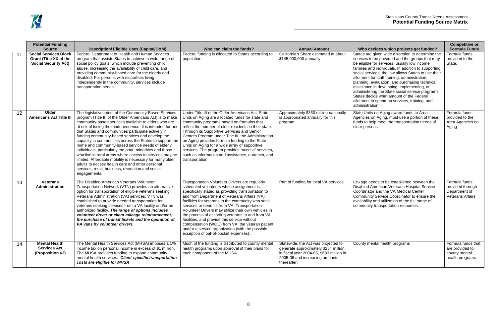|    | <b>Potential Funding</b><br><b>Source</b>                                             | <b>Description/ Eligible Uses (Capital/O&amp;M)</b>                                                                                                                                                                                                                                                                                                                                                                                                                                                                                                                                                                                                                                                                                                                                | Who can claim the funds?                                                                                                                                                                                                                                                                                                                                                                                                                                                                                                                                                                                          | <b>Annual Amount</b>                                                                                                                                                     | Who decides which projects get funded?                                                                                                                                                                                                                                                                                                                                                                                                                                                                                                                                                  | <b>Competitive or</b><br><b>Formula Funds</b>                                 |
|----|---------------------------------------------------------------------------------------|------------------------------------------------------------------------------------------------------------------------------------------------------------------------------------------------------------------------------------------------------------------------------------------------------------------------------------------------------------------------------------------------------------------------------------------------------------------------------------------------------------------------------------------------------------------------------------------------------------------------------------------------------------------------------------------------------------------------------------------------------------------------------------|-------------------------------------------------------------------------------------------------------------------------------------------------------------------------------------------------------------------------------------------------------------------------------------------------------------------------------------------------------------------------------------------------------------------------------------------------------------------------------------------------------------------------------------------------------------------------------------------------------------------|--------------------------------------------------------------------------------------------------------------------------------------------------------------------------|-----------------------------------------------------------------------------------------------------------------------------------------------------------------------------------------------------------------------------------------------------------------------------------------------------------------------------------------------------------------------------------------------------------------------------------------------------------------------------------------------------------------------------------------------------------------------------------------|-------------------------------------------------------------------------------|
| 11 | <b>Social Services Block</b><br>Grant (Title XX of the<br><b>Social Security Act)</b> | Federal Department of Health and Human Services<br>program that assists States to achieve a wide range of<br>social policy goals, which include preventing child<br>abuse, increasing the availability of child care, and<br>providing community-based care for the elderly and<br>disabled. For persons with disabilities living<br>independently in the community, services include<br>transportation needs.                                                                                                                                                                                                                                                                                                                                                                     | Federal funding is allocated to States according to<br>population.                                                                                                                                                                                                                                                                                                                                                                                                                                                                                                                                                | California's Share estimated at about<br>\$145,000,000 annually                                                                                                          | States are given wide discretion to determine the<br>services to be provided and the groups that may<br>be eligible for services, usually low income<br>families and individuals. In addition to supporting<br>social services, the law allows States to use their<br>allotment for staff training, administration,<br>planning, evaluation, and purchasing technical<br>assistance in developing, implementing, or<br>administering the State social service programs.<br>States decide what amount of the Federal<br>allotment to spend on services, training, and<br>administration. | Formula funds<br>provided to the<br>State.                                    |
| 12 | Older<br><b>Americans Act Title III</b>                                               | The legislative intent of the Community-Based Services<br>program (Title III of the Older Americans Act) is to make<br>community-based services available to elders who are<br>at risk of losing their independence. It is intended further<br>that States and communities participate actively in<br>funding community-based services and develop the<br>capacity in communities across the States to support the<br>home and community-based service needs of elderly<br>individuals, particularly the poor, minorities and those<br>who live in rural areas where access to services may be<br>limited. Affordable mobility is necessary for many older<br>adults to access health care and other personal<br>services, retail, business, recreation and social<br>engagements. | Under Title III of the Older Americans Act, State<br>Units on Aging are allocated funds for state and<br>community programs based on formulas that<br>reflect the number of older residents in their state.<br>Through its Supportive Services and Senior<br>Centers Program under Title III, the Administration<br>on Aging provides formula funding to the State<br>Units on Aging for a wide array of supportive<br>services. The program provides "access" services,<br>such as information and assistance, outreach, and<br>transportation.                                                                  | Approximately \$360 million nationally<br>is appropriated annually for this<br>program.                                                                                  | State Units on Aging award funds to Area<br>Agencies on Aging, most use a portion of these<br>funds to help meet the transportation needs of<br>older persons.                                                                                                                                                                                                                                                                                                                                                                                                                          | Formula funds<br>provided to the<br>Area Agencies on<br>Aging                 |
| 13 | <b>Veterans</b><br>Administration                                                     | The Disabled American Veterans Volunteer<br>Transportation Network (VTN) provides an alternative<br>option for transportation of eligible veterans seeking<br>Veterans Administration (VA) services. VTN was<br>established to provide needed transportation for<br>veterans seeking services from a VA facility and/or an<br>authorized facility. The range of options includes<br>volunteer driver or client mileage reimbursement,<br>the purchase of transit tickets and the operation of<br>VA vans by volunteer drivers.                                                                                                                                                                                                                                                     | Transportation Volunteer Drivers are regularly<br>scheduled volunteers whose assignment is<br>specifically stated as providing transportation to<br>and from Department of Veterans Affairs (VA)<br>facilities for veterans in the community who seek<br>services or benefits from VA. Transportation<br>Volunteer Drivers may utilize their own vehicles in<br>the process of escorting veterans to and from VA<br>facilities, and provide this service without<br>compensation (WOC) from VA, the veteran patient,<br>and/or a service organization (with the possible<br>exception of out-of-pocket expenses). | Part of funding for local VA services.                                                                                                                                   | Linkage needs to be established between the<br>Disabled American Veterans Hospital Service<br>Coordinator and the VA Medical Center<br>Community Service Coordinator to ensure the<br>availability and utilization of the full range of<br>community transportation resources.                                                                                                                                                                                                                                                                                                          | Formula funds<br>provided through<br>Department of<br><b>Veterans Affairs</b> |
| 14 | <b>Mental Health</b><br><b>Services Act</b><br>(Proposition 63)                       | The Mental Health Services Act (MHSA) imposes a 1%<br>income tax on personal income in excess of \$1 million.<br>The MHSA provides funding to expand community<br>mental health services. Client-specific transportation<br>costs are eligible for MHSA                                                                                                                                                                                                                                                                                                                                                                                                                                                                                                                            | Much of the funding is distributed to county mental<br>health programs upon approval of their plans for<br>each component of the MHSA.                                                                                                                                                                                                                                                                                                                                                                                                                                                                            | Statewide, the Act was projected to<br>generate approximately \$254 million<br>in fiscal year 2004-05, \$683 million in<br>2005-06 and increasing amounts<br>thereafter. | County mental health programs                                                                                                                                                                                                                                                                                                                                                                                                                                                                                                                                                           | Formula funds that<br>are provided to<br>county mental<br>health programs.    |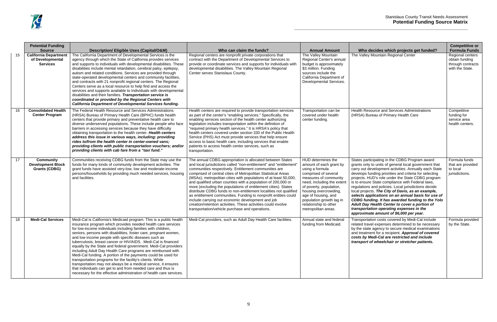|    | <b>Potential Funding</b>                                             |                                                                                                                                                                                                                                                                                                                                                                                                                                                                                                                                                                                                                                                                                                                                                                                                                                                                           |                                                                                                                                                                                                                                                                                                                                                                                                                                                                                                                                                                                                                                                                                                                                                                                  |                                                                                                                                                                                                                                                                                                        |                                                                                                                                                                                                                                                                                                                                                                                                                                                                                                                                                                                                                                                                                                 |
|----|----------------------------------------------------------------------|---------------------------------------------------------------------------------------------------------------------------------------------------------------------------------------------------------------------------------------------------------------------------------------------------------------------------------------------------------------------------------------------------------------------------------------------------------------------------------------------------------------------------------------------------------------------------------------------------------------------------------------------------------------------------------------------------------------------------------------------------------------------------------------------------------------------------------------------------------------------------|----------------------------------------------------------------------------------------------------------------------------------------------------------------------------------------------------------------------------------------------------------------------------------------------------------------------------------------------------------------------------------------------------------------------------------------------------------------------------------------------------------------------------------------------------------------------------------------------------------------------------------------------------------------------------------------------------------------------------------------------------------------------------------|--------------------------------------------------------------------------------------------------------------------------------------------------------------------------------------------------------------------------------------------------------------------------------------------------------|-------------------------------------------------------------------------------------------------------------------------------------------------------------------------------------------------------------------------------------------------------------------------------------------------------------------------------------------------------------------------------------------------------------------------------------------------------------------------------------------------------------------------------------------------------------------------------------------------------------------------------------------------------------------------------------------------|
|    | <b>Source</b>                                                        | Description/ Eligible Uses (Capital/O&M)                                                                                                                                                                                                                                                                                                                                                                                                                                                                                                                                                                                                                                                                                                                                                                                                                                  | Who can claim the funds?                                                                                                                                                                                                                                                                                                                                                                                                                                                                                                                                                                                                                                                                                                                                                         | <b>Annual Amount</b>                                                                                                                                                                                                                                                                                   | Who decides which projects get funded?                                                                                                                                                                                                                                                                                                                                                                                                                                                                                                                                                                                                                                                          |
| 15 | <b>California Department</b><br>of Developmental<br><b>Services</b>  | The California Department of Developmental Services is the<br>agency through which the State of California provides services<br>and supports to individuals with developmental disabilities. These<br>disabilities include mental retardation, cerebral palsy, epilepsy,<br>autism and related conditions. Services are provided through<br>state-operated developmental centers and community facilities,<br>and contracts with 21 nonprofit regional centers. The Regional<br>Centers serve as a local resource to help find and access the<br>services and supports available to individuals with developmental<br>disabilities and their families. Transportation service is<br>coordinated or provided by the Regional Centers with<br><b>California Department of Developmental Services funding.</b>                                                               | Regional centers are nonprofit private corporations that<br>contract with the Department of Developmental Services to<br>provide or coordinate services and supports for individuals with<br>developmental disabilities. The Valley Mountain Regional<br>Center serves Stanislaus County.                                                                                                                                                                                                                                                                                                                                                                                                                                                                                        | The Valley Mountain<br>Regional Center's annual<br>budget is approximately<br>\$3 million. Funding<br>sources include the<br>California Department of<br>Developmental Services.                                                                                                                       | The Valley Mountain Regional Center                                                                                                                                                                                                                                                                                                                                                                                                                                                                                                                                                                                                                                                             |
| 16 | <b>Consolidated Health</b><br><b>Center Program</b>                  | The Federal Health Resource and Services Administrations<br>(HRSA) Bureau of Primary Health Care (BPHC) funds health<br>centers that provide primary and preventative health care to<br>diverse underserved populations. These include people who face<br>barriers in accessing services because they have difficulty<br>obtaining transportation to the health center. Health centers<br>address this issue in various ways, including: providing<br>rides to/from the health center in center-owned vans;<br>providing clients with public transportation vouchers; and/or<br>providing clients with cab fare from a "taxi fund."                                                                                                                                                                                                                                       | Health centers are required to provide transportation services<br>as part of the center's "enabling services." Specifically, the<br>enabling services section of the health center authorizing<br>legislation includes transportation within the definition of<br>"required primary health services." It is HRSA's policy that<br>health centers covered under section 330 of the Public Health<br>Service (PHS) Act must provide services that help ensure<br>access to basic health care, including services that enable<br>patients to access health center services, such as<br>transportation.                                                                                                                                                                              | Transportation can be<br>covered under health<br>center funding.                                                                                                                                                                                                                                       | Health Resource and Services Administrations<br>(HRSA) Bureau of Primary Health Care                                                                                                                                                                                                                                                                                                                                                                                                                                                                                                                                                                                                            |
| 17 | <b>Community</b><br><b>Development Block</b><br><b>Grants (CDBG)</b> | Communities receiving CDBG funds from the State may use the<br>funds for many kinds of community development activities. The<br>grant funds have assisted very-low, low and moderate-income<br>persons/households by providing much needed services, housing<br>and facilities.                                                                                                                                                                                                                                                                                                                                                                                                                                                                                                                                                                                           | The annual CDBG appropriation is allocated between States<br>and local jurisdictions called "non-entitlement" and "entitlement'<br>communities respectively. Entitlement communities are<br>comprised of central cities of Metropolitan Statistical Areas<br>(MSAs); metropolitan cities with populations of at least 50,000;<br>and qualified urban counties with a population of 200,000 or<br>more (excluding the populations of entitlement cities). States<br>distribute CDBG funds to non-entitlement localities not qualified<br>as entitlement communities. Funding to nonprofit entities could<br>include carrying out economic development and job<br>creation/retention activities. These activities could involve<br>transportation/vehicle purchase and operations. | HUD determines the<br>amount of each grant by<br>using a formula<br>comprised of several<br>measures of community<br>need, including the extent<br>of poverty, population,<br>housing overcrowding,<br>age of housing, and<br>population growth lag in<br>relationship to other<br>metropolitan areas. | States participating in the CDBG Program award<br>grants only to units of general local government the<br>carry out development activities. Annually each Sta<br>develops funding priorities and criteria for selecting<br>projects. HUD's role under the State CDBG progra<br>is to ensure State compliance with Federal laws,<br>regulations and policies. Local jurisdictions decide<br>local projects. The City of Davis, as an example,<br>selects applications on an annual basis for use<br><b>CDBG funding. It has awarded funding to the Y</b><br>Adult Day Health Center to cover a portion of<br>transportation operating expenses in the<br>approximate amount of \$6,000 per year. |
| 18 | <b>Medi-Cal Services</b>                                             | Medi-Cal is California's Medicaid program. This is a public health<br>insurance program which provides needed health care services<br>for low-income individuals including families with children,<br>seniors, persons with disabilities, foster care, pregnant women,<br>and low income people with specific diseases such as<br>tuberculosis, breast cancer or HIV/AIDS. Medi-Cal is financed<br>equally by the State and federal government. Medi-Cal providers<br>including Adult Day Health Care programs are reimbursed with<br>Medi-Cal funding. A portion of the payments could be used for<br>transportation programs for the facility's clients. While<br>transportation may not always be a medical service, it ensures<br>that individuals can get to and from needed care and thus is<br>necessary for the effective administration of health care services. | Medi-Cal providers, such as Adult Day Health Care facilities.                                                                                                                                                                                                                                                                                                                                                                                                                                                                                                                                                                                                                                                                                                                    | Annual state and federal<br>funding from Medicaid.                                                                                                                                                                                                                                                     | Transportation costs covered by Medi-Cal include<br>related travel expenses determined to be necessa<br>by the state agency to secure medical examination<br>and treatment for a recipient. Approval of covere<br>costs by Medi-Cal are restricted and include<br>transport of wheelchair or stretcher patients.                                                                                                                                                                                                                                                                                                                                                                                |

| Who decides which projects get funded?                                                                                                                                                                                                                                                                                                                                                                                                                                                                                                                                                                                                                                                             | <b>Competitive or</b><br><b>Formula Funds</b>                              |
|----------------------------------------------------------------------------------------------------------------------------------------------------------------------------------------------------------------------------------------------------------------------------------------------------------------------------------------------------------------------------------------------------------------------------------------------------------------------------------------------------------------------------------------------------------------------------------------------------------------------------------------------------------------------------------------------------|----------------------------------------------------------------------------|
| The Valley Mountain Regional Center                                                                                                                                                                                                                                                                                                                                                                                                                                                                                                                                                                                                                                                                | Regional centers<br>obtain funding<br>through contracts<br>with the State. |
| Health Resource and Services Administrations<br>(HRSA) Bureau of Primary Health Care                                                                                                                                                                                                                                                                                                                                                                                                                                                                                                                                                                                                               | Competitive<br>funding for<br>service area<br>health centers.              |
| States participating in the CDBG Program award<br>grants only to units of general local government that<br>carry out development activities. Annually each State<br>develops funding priorities and criteria for selecting<br>projects. HUD's role under the State CDBG program<br>is to ensure State compliance with Federal laws,<br>regulations and policies. Local jurisdictions decide<br>local projects. The City of Davis, as an example,<br>selects applications on an annual basis for use of<br>CDBG funding. It has awarded funding to the Yolo<br>Adult Day Health Center to cover a portion of<br>transportation operating expenses in the<br>approximate amount of \$6,000 per year. | Formula funds<br>that are provided<br>to local<br>jurisdictions.           |
| Transportation costs covered by Medi-Cal include<br>related travel expenses determined to be necessary<br>by the state agency to secure medical examinations<br>and treatment for a recipient. Approval of covered<br>costs by Medi-Cal are restricted and include<br>transport of wheelchair or stretcher patients.                                                                                                                                                                                                                                                                                                                                                                               | Formula provided<br>by the State.                                          |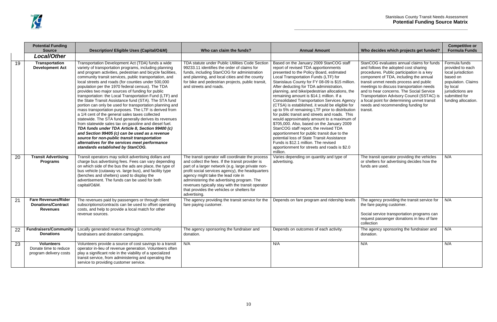| Who decides which projects get funded?                                                                                                                                                                                                                                                                                                                                                                                                                    | <b>Competitive or</b><br><b>Formula Funds</b>                                                                                                                      |
|-----------------------------------------------------------------------------------------------------------------------------------------------------------------------------------------------------------------------------------------------------------------------------------------------------------------------------------------------------------------------------------------------------------------------------------------------------------|--------------------------------------------------------------------------------------------------------------------------------------------------------------------|
|                                                                                                                                                                                                                                                                                                                                                                                                                                                           |                                                                                                                                                                    |
| StanCOG evaluates annual claims for funds<br>and follows the adopted cost sharing<br>procedures. Public participation is a key<br>component of TDA, including the annual<br>transit unmet needs process and public<br>meetings to discuss transportation needs<br>and to hear concerns. The Social Service<br>Transportation Advisory Council (SSTAC) is<br>a focal point for determining unmet transit<br>needs and recommending funding for<br>transit. | Formula funds<br>provided to each<br>local jurisdiction<br>based on<br>population. Claims<br>by local<br>jurisdictions are<br>submitted for<br>funding allocation. |
| The transit operator providing the vehicles<br>or shelters for advertising decides how the<br>funds are used.                                                                                                                                                                                                                                                                                                                                             | N/A                                                                                                                                                                |
| The agency providing the transit service for<br>the fare paying customer.<br>Social service transportation programs can<br>request passenger donations in lieu of fare<br>collection                                                                                                                                                                                                                                                                      | N/A                                                                                                                                                                |
| The agency sponsoring the fundraiser and<br>donation.                                                                                                                                                                                                                                                                                                                                                                                                     | N/A                                                                                                                                                                |
| N/A                                                                                                                                                                                                                                                                                                                                                                                                                                                       | N/A                                                                                                                                                                |

|    | <b>Potential Funding</b><br><b>Source</b>                                  | Description/ Eligible Uses (Capital/O&M)                                                                                                                                                                                                                                                                                                                                                                                                                                                                                                                                                                                                                                                                                                                                                                                                                                                                                                                                                                                                                       | Who can claim the funds?                                                                                                                                                                                                                                                                                                                                                                                             | <b>Annual Amount</b>                                                                                                                                                                                                                                                                                                                                                                                                                                                                                                                                                                                                                                                                                                                                                                                                                                                                                                | Who decides which projects get funded?                                                                                                                                                                                                                                                                                                                                                                                                                    | $\mathbf C$                                                     |
|----|----------------------------------------------------------------------------|----------------------------------------------------------------------------------------------------------------------------------------------------------------------------------------------------------------------------------------------------------------------------------------------------------------------------------------------------------------------------------------------------------------------------------------------------------------------------------------------------------------------------------------------------------------------------------------------------------------------------------------------------------------------------------------------------------------------------------------------------------------------------------------------------------------------------------------------------------------------------------------------------------------------------------------------------------------------------------------------------------------------------------------------------------------|----------------------------------------------------------------------------------------------------------------------------------------------------------------------------------------------------------------------------------------------------------------------------------------------------------------------------------------------------------------------------------------------------------------------|---------------------------------------------------------------------------------------------------------------------------------------------------------------------------------------------------------------------------------------------------------------------------------------------------------------------------------------------------------------------------------------------------------------------------------------------------------------------------------------------------------------------------------------------------------------------------------------------------------------------------------------------------------------------------------------------------------------------------------------------------------------------------------------------------------------------------------------------------------------------------------------------------------------------|-----------------------------------------------------------------------------------------------------------------------------------------------------------------------------------------------------------------------------------------------------------------------------------------------------------------------------------------------------------------------------------------------------------------------------------------------------------|-----------------------------------------------------------------|
|    | <b>Local/Other</b>                                                         |                                                                                                                                                                                                                                                                                                                                                                                                                                                                                                                                                                                                                                                                                                                                                                                                                                                                                                                                                                                                                                                                |                                                                                                                                                                                                                                                                                                                                                                                                                      |                                                                                                                                                                                                                                                                                                                                                                                                                                                                                                                                                                                                                                                                                                                                                                                                                                                                                                                     |                                                                                                                                                                                                                                                                                                                                                                                                                                                           |                                                                 |
| 19 | <b>Transportation</b><br><b>Development Act</b>                            | Transportation Development Act (TDA) funds a wide<br>variety of transportation programs, including planning<br>and program activities, pedestrian and bicycle facilities,<br>community transit services, public transportation, and<br>local streets and roads (for counties under 500,000<br>population per the 1970 federal census). The TDA<br>provides two major sources of funding for public<br>transportation: the Local Transportation Fund (LTF) and<br>the State Transit Assistance fund (STA). The STA fund<br>portion can only be used for transportation planning and<br>mass transportation purposes. The LTF is derived from<br>a 1/4 cent of the general sales taxes collected<br>statewide. The STA fund generally derives its revenues<br>from statewide sales tax on gasoline and diesel fuel.<br>TDA funds under TDA Article 8, Section 99400 (c)<br>and Section 99405 (c) can be used as a revenue<br>source for non-public transit transportation<br>alternatives for the services meet performance<br>standards established by StanCOG. | TDA statute under Public Utilities Code Section<br>99233.11 identifies the order of claims for<br>funds, including StanCOG for administration<br>and planning, and local cities and the county<br>for bike and pedestrian projects, public transit,<br>and streets and roads.                                                                                                                                        | Based on the January 2009 StanCOG staff<br>report of revised TDA apportionments<br>presented to the Policy Board, estimated<br>Local Transportation Funds (LTF) for<br>Stanislaus County for FY 08-09 is \$15 million.<br>After deducting for TDA administration,<br>planning, and bike/pedestrian allocations, the<br>remaining amount is \$14.1 million. If a<br><b>Consolidated Transportation Services Agency</b><br>(CTSA) is established, it would be eligible for<br>up to 5% of remaining LTF prior to distribution<br>for public transit and streets and roads. This<br>would approximately amount to a maximum of<br>\$705,000. Also, based on the January 2009<br>StanCOG staff report, the revised TDA<br>apportionment for public transit due to the<br>potential loss of State Transit Assistance<br>Funds is \$12.1 million. The revised<br>apportionment for streets and roads is \$2.0<br>million. | StanCOG evaluates annual claims for funds<br>and follows the adopted cost sharing<br>procedures. Public participation is a key<br>component of TDA, including the annual<br>transit unmet needs process and public<br>meetings to discuss transportation needs<br>and to hear concerns. The Social Service<br>Transportation Advisory Council (SSTAC) is<br>a focal point for determining unmet transit<br>needs and recommending funding for<br>transit. | For<br>pro<br>loca<br>bas<br>pop<br>by l<br>juris<br>sub<br>fun |
| 20 | <b>Transit Advertising</b><br><b>Programs</b>                              | Transit operators may solicit advertising dollars and<br>charge bus advertising fees. Fees can vary depending<br>on which side of the bus the ads are place, the type of<br>bus vehicle (cutaway vs. large bus), and facility type<br>(benches and shelters) used to display the<br>advertisement. The funds can be used for both<br>capital/O&M.                                                                                                                                                                                                                                                                                                                                                                                                                                                                                                                                                                                                                                                                                                              | The transit operator will coordinate the process<br>and collect the fees. If the transit provider is<br>part of a larger network (e.g. large private non-<br>profit social services agency), the headquarters<br>agency might take the lead role in<br>administering the advertising program. The<br>revenues typically stay with the transit operator<br>that provides the vehicles or shelters for<br>advertising. | Varies depending on quantity and type of<br>advertising.                                                                                                                                                                                                                                                                                                                                                                                                                                                                                                                                                                                                                                                                                                                                                                                                                                                            | The transit operator providing the vehicles<br>or shelters for advertising decides how the<br>funds are used.                                                                                                                                                                                                                                                                                                                                             | N/A                                                             |
| 21 | <b>Fare Revenues/Rider</b><br><b>Donations/Contract</b><br><b>Revenues</b> | The revenues paid by passengers or through client<br>subscriptions/contracts can be used to offset operating<br>costs, and help to provide a local match for other<br>revenue sources.                                                                                                                                                                                                                                                                                                                                                                                                                                                                                                                                                                                                                                                                                                                                                                                                                                                                         | The agency providing the transit service for the<br>fare paying customer.                                                                                                                                                                                                                                                                                                                                            | Depends on fare program and ridership levels                                                                                                                                                                                                                                                                                                                                                                                                                                                                                                                                                                                                                                                                                                                                                                                                                                                                        | The agency providing the transit service for<br>the fare paying customer.<br>Social service transportation programs can<br>request passenger donations in lieu of fare<br>collection                                                                                                                                                                                                                                                                      | N/A                                                             |
| 22 | <b>Fundraisers/Community</b><br><b>Donations</b>                           | Locally generated revenue through community<br>fundraisers and donation campaigns.                                                                                                                                                                                                                                                                                                                                                                                                                                                                                                                                                                                                                                                                                                                                                                                                                                                                                                                                                                             | The agency sponsoring the fundraiser and<br>donation.                                                                                                                                                                                                                                                                                                                                                                | Depends on outcomes of each activity.                                                                                                                                                                                                                                                                                                                                                                                                                                                                                                                                                                                                                                                                                                                                                                                                                                                                               | The agency sponsoring the fundraiser and<br>donation.                                                                                                                                                                                                                                                                                                                                                                                                     | N/A                                                             |
| 23 | <b>Volunteers</b><br>Donate time to reduce<br>program delivery costs       | Volunteers provide a source of cost savings to a transit<br>operator in-lieu of revenue generation. Volunteers often<br>play a significant role in the viability of a specialized<br>transit service, from administering and operating the<br>service to providing customer service.                                                                                                                                                                                                                                                                                                                                                                                                                                                                                                                                                                                                                                                                                                                                                                           | N/A                                                                                                                                                                                                                                                                                                                                                                                                                  | N/A                                                                                                                                                                                                                                                                                                                                                                                                                                                                                                                                                                                                                                                                                                                                                                                                                                                                                                                 | N/A                                                                                                                                                                                                                                                                                                                                                                                                                                                       | N/A                                                             |